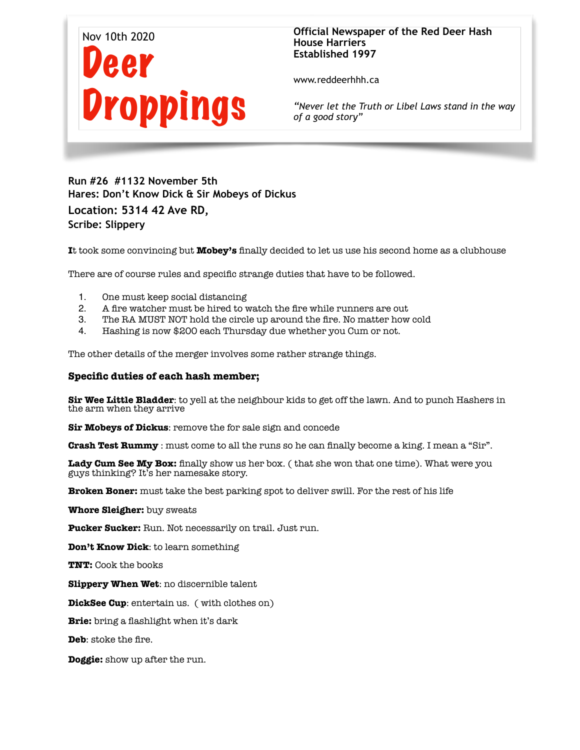

# **Official Newspaper of the Red Deer Hash House Harriers Established 1997**

www.reddeerhhh.ca

*"Never let the Truth or Libel Laws stand in the way of a good story"*

**Run #26 #1132 November 5th Hares: Don't Know Dick & Sir Mobeys of Dickus Location: 5314 42 Ave RD, Scribe: Slippery** 

**I**t took some convincing but **Mobey's** finally decided to let us use his second home as a clubhouse

There are of course rules and specific strange duties that have to be followed.

- 1. One must keep social distancing
- 2. A fire watcher must be hired to watch the fire while runners are out
- 3. The RA MUST NOT hold the circle up around the fire. No matter how cold
- 4. Hashing is now \$200 each Thursday due whether you Cum or not.

The other details of the merger involves some rather strange things.

### **Specific duties of each hash member;**

**Sir Wee Little Bladder**: to yell at the neighbour kids to get off the lawn. And to punch Hashers in the arm when they arrive

**Sir Mobeys of Dickus**: remove the for sale sign and concede

**Crash Test Rummy** : must come to all the runs so he can finally become a king. I mean a "Sir".

**Lady Cum See My Box:** finally show us her box. ( that she won that one time). What were you guys thinking? It's her namesake story.

**Broken Boner:** must take the best parking spot to deliver swill. For the rest of his life

**Whore Sleigher:** buy sweats

**Pucker Sucker:** Run. Not necessarily on trail. Just run.

**Don't Know Dick**: to learn something

**TNT:** Cook the books

**Slippery When Wet**: no discernible talent

**DickSee Cup**: entertain us. ( with clothes on)

**Brie:** bring a flashlight when it's dark

**Deb**: stoke the fire.

**Doggie:** show up after the run.